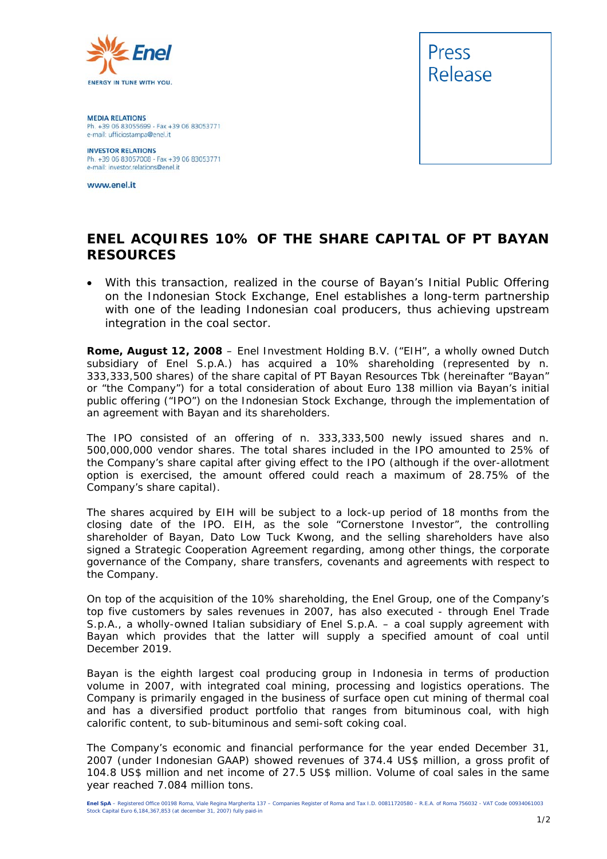

**MEDIA RELATIONS** Ph. +39 06 83055699 - Fax +39 06 83053771 e-mail: ufficiostampa@enel.it

**INVESTOR RELATIONS**<br>Ph. +39 06 83057008 - Fax +39 06 83053771 e-mail: investor.relations@enel.it

www.enel.it



## **ENEL ACQUIRES 10% OF THE SHARE CAPITAL OF PT BAYAN RESOURCES**

• *With this transaction, realized in the course of Bayan's Initial Public Offering on the Indonesian Stock Exchange, Enel establishes a long-term partnership*  with one of the leading Indonesian coal producers, thus achieving upstream *integration in the coal sector.* 

**Rome, August 12, 2008** – Enel Investment Holding B.V. ("EIH", a wholly owned Dutch subsidiary of Enel S.p.A.) has acquired a 10% shareholding (represented by n. 333,333,500 shares) of the share capital of PT Bayan Resources Tbk (hereinafter "Bayan" or "the Company") for a total consideration of about Euro 138 million via Bayan's initial public offering ("IPO") on the Indonesian Stock Exchange, through the implementation of an agreement with Bayan and its shareholders.

The IPO consisted of an offering of n. 333,333,500 newly issued shares and n. 500,000,000 vendor shares. The total shares included in the IPO amounted to 25% of the Company's share capital after giving effect to the IPO (although if the over-allotment option is exercised, the amount offered could reach a maximum of 28.75% of the Company's share capital).

The shares acquired by EIH will be subject to a lock-up period of 18 months from the closing date of the IPO. EIH, as the sole "Cornerstone Investor", the controlling shareholder of Bayan, Dato Low Tuck Kwong, and the selling shareholders have also signed a Strategic Cooperation Agreement regarding, among other things, the corporate governance of the Company, share transfers, covenants and agreements with respect to the Company.

On top of the acquisition of the 10% shareholding, the Enel Group, one of the Company's top five customers by sales revenues in 2007, has also executed - through Enel Trade S.p.A., a wholly-owned Italian subsidiary of Enel S.p.A. – a coal supply agreement with Bayan which provides that the latter will supply a specified amount of coal until December 2019.

Bayan is the eighth largest coal producing group in Indonesia in terms of production volume in 2007, with integrated coal mining, processing and logistics operations. The Company is primarily engaged in the business of surface open cut mining of thermal coal and has a diversified product portfolio that ranges from bituminous coal, with high calorific content, to sub-bituminous and semi-soft coking coal.

The Company's economic and financial performance for the year ended December 31, 2007 (under Indonesian GAAP) showed revenues of 374.4 US\$ million, a gross profit of 104.8 US\$ million and net income of 27.5 US\$ million. Volume of coal sales in the same year reached 7.084 million tons.